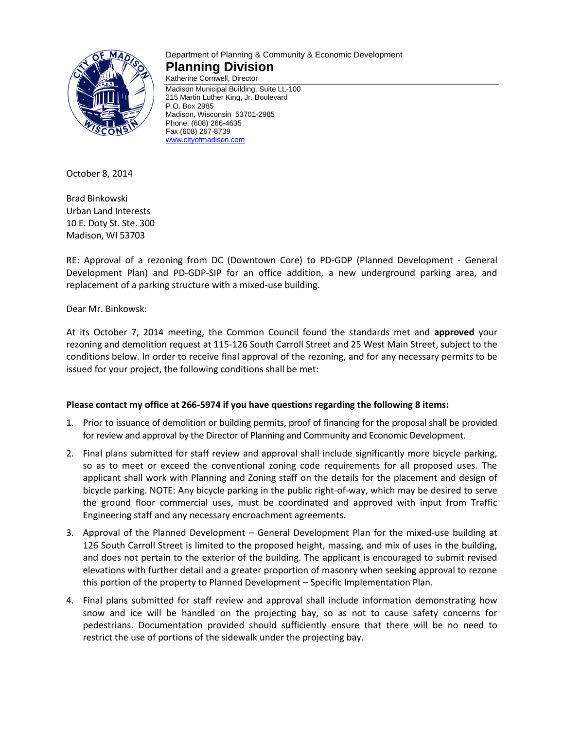

# Department of Planning & Community & Economic Development **Planning Division**

Katherine Cornwell, Director Madison Municipal Building, Suite LL-100 215 Martin Luther King, Jr. Boulevard P.O. Box 2985 Madison, Wisconsin 53701-2985 Phone: (608) 266-4635 Fax (608) 267-8739 [www.cityofmadison.com](http://www.cityofmadison.com/)

October 8, 2014

Brad Binkowski Urban Land Interests 10 E. Doty St. Ste. 300 Madison, WI 53703

RE: Approval of a rezoning from DC (Downtown Core) to PD-GDP (Planned Development - General Development Plan) and PD-GDP-SIP for an office addition, a new underground parking area, and replacement of a parking structure with a mixed-use building.

Dear Mr. Binkowsk:

At its October 7, 2014 meeting, the Common Council found the standards met and **approved** your rezoning and demolition request at 115-126 South Carroll Street and 25 West Main Street, subject to the conditions below. In order to receive final approval of the rezoning, and for any necessary permits to be issued for your project, the following conditions shall be met:

#### **Please contact my office at 266-5974 if you have questions regarding the following 8 items:**

- 1. Prior to issuance of demolition or building permits, proof of financing for the proposal shall be provided for review and approval by the Director of Planning and Community and Economic Development.
- 2. Final plans submitted for staff review and approval shall include significantly more bicycle parking, so as to meet or exceed the conventional zoning code requirements for all proposed uses. The applicant shall work with Planning and Zoning staff on the details for the placement and design of bicycle parking. NOTE: Any bicycle parking in the public right-of-way, which may be desired to serve the ground floor commercial uses, must be coordinated and approved with input from Traffic Engineering staff and any necessary encroachment agreements.
- 3. Approval of the Planned Development General Development Plan for the mixed-use building at 126 South Carroll Street is limited to the proposed height, massing, and mix of uses in the building, and does not pertain to the exterior of the building. The applicant is encouraged to submit revised elevations with further detail and a greater proportion of masonry when seeking approval to rezone this portion of the property to Planned Development – Specific Implementation Plan.
- 4. Final plans submitted for staff review and approval shall include information demonstrating how snow and ice will be handled on the projecting bay, so as not to cause safety concerns for pedestrians. Documentation provided should sufficiently ensure that there will be no need to restrict the use of portions of the sidewalk under the projecting bay.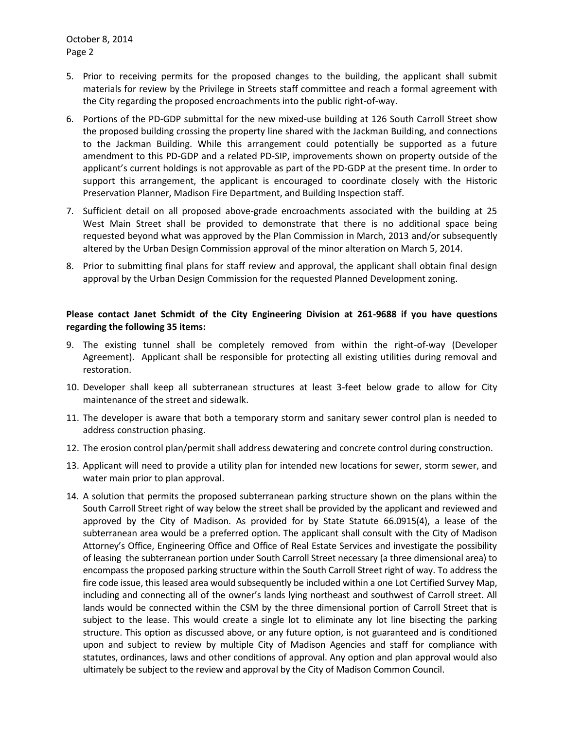October 8, 2014 Page 2

- 5. Prior to receiving permits for the proposed changes to the building, the applicant shall submit materials for review by the Privilege in Streets staff committee and reach a formal agreement with the City regarding the proposed encroachments into the public right-of-way.
- 6. Portions of the PD-GDP submittal for the new mixed-use building at 126 South Carroll Street show the proposed building crossing the property line shared with the Jackman Building, and connections to the Jackman Building. While this arrangement could potentially be supported as a future amendment to this PD-GDP and a related PD-SIP, improvements shown on property outside of the applicant's current holdings is not approvable as part of the PD-GDP at the present time. In order to support this arrangement, the applicant is encouraged to coordinate closely with the Historic Preservation Planner, Madison Fire Department, and Building Inspection staff.
- 7. Sufficient detail on all proposed above-grade encroachments associated with the building at 25 West Main Street shall be provided to demonstrate that there is no additional space being requested beyond what was approved by the Plan Commission in March, 2013 and/or subsequently altered by the Urban Design Commission approval of the minor alteration on March 5, 2014.
- 8. Prior to submitting final plans for staff review and approval, the applicant shall obtain final design approval by the Urban Design Commission for the requested Planned Development zoning.

#### **Please contact Janet Schmidt of the City Engineering Division at 261-9688 if you have questions regarding the following 35 items:**

- 9. The existing tunnel shall be completely removed from within the right-of-way (Developer Agreement). Applicant shall be responsible for protecting all existing utilities during removal and restoration.
- 10. Developer shall keep all subterranean structures at least 3-feet below grade to allow for City maintenance of the street and sidewalk.
- 11. The developer is aware that both a temporary storm and sanitary sewer control plan is needed to address construction phasing.
- 12. The erosion control plan/permit shall address dewatering and concrete control during construction.
- 13. Applicant will need to provide a utility plan for intended new locations for sewer, storm sewer, and water main prior to plan approval.
- 14. A solution that permits the proposed subterranean parking structure shown on the plans within the South Carroll Street right of way below the street shall be provided by the applicant and reviewed and approved by the City of Madison. As provided for by State Statute 66.0915(4), a lease of the subterranean area would be a preferred option. The applicant shall consult with the City of Madison Attorney's Office, Engineering Office and Office of Real Estate Services and investigate the possibility of leasing the subterranean portion under South Carroll Street necessary (a three dimensional area) to encompass the proposed parking structure within the South Carroll Street right of way. To address the fire code issue, this leased area would subsequently be included within a one Lot Certified Survey Map, including and connecting all of the owner's lands lying northeast and southwest of Carroll street. All lands would be connected within the CSM by the three dimensional portion of Carroll Street that is subject to the lease. This would create a single lot to eliminate any lot line bisecting the parking structure. This option as discussed above, or any future option, is not guaranteed and is conditioned upon and subject to review by multiple City of Madison Agencies and staff for compliance with statutes, ordinances, laws and other conditions of approval. Any option and plan approval would also ultimately be subject to the review and approval by the City of Madison Common Council.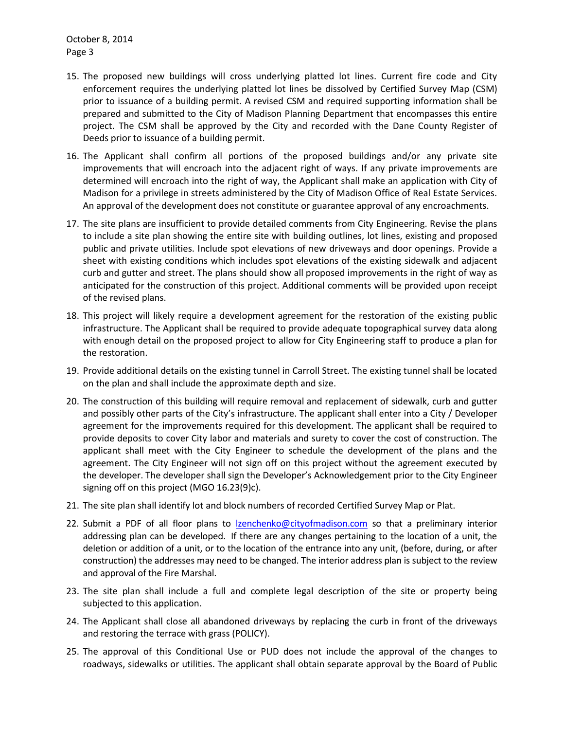October 8, 2014 Page 3

- 15. The proposed new buildings will cross underlying platted lot lines. Current fire code and City enforcement requires the underlying platted lot lines be dissolved by Certified Survey Map (CSM) prior to issuance of a building permit. A revised CSM and required supporting information shall be prepared and submitted to the City of Madison Planning Department that encompasses this entire project. The CSM shall be approved by the City and recorded with the Dane County Register of Deeds prior to issuance of a building permit.
- 16. The Applicant shall confirm all portions of the proposed buildings and/or any private site improvements that will encroach into the adjacent right of ways. If any private improvements are determined will encroach into the right of way, the Applicant shall make an application with City of Madison for a privilege in streets administered by the City of Madison Office of Real Estate Services. An approval of the development does not constitute or guarantee approval of any encroachments.
- 17. The site plans are insufficient to provide detailed comments from City Engineering. Revise the plans to include a site plan showing the entire site with building outlines, lot lines, existing and proposed public and private utilities. Include spot elevations of new driveways and door openings. Provide a sheet with existing conditions which includes spot elevations of the existing sidewalk and adjacent curb and gutter and street. The plans should show all proposed improvements in the right of way as anticipated for the construction of this project. Additional comments will be provided upon receipt of the revised plans.
- 18. This project will likely require a development agreement for the restoration of the existing public infrastructure. The Applicant shall be required to provide adequate topographical survey data along with enough detail on the proposed project to allow for City Engineering staff to produce a plan for the restoration.
- 19. Provide additional details on the existing tunnel in Carroll Street. The existing tunnel shall be located on the plan and shall include the approximate depth and size.
- 20. The construction of this building will require removal and replacement of sidewalk, curb and gutter and possibly other parts of the City's infrastructure. The applicant shall enter into a City / Developer agreement for the improvements required for this development. The applicant shall be required to provide deposits to cover City labor and materials and surety to cover the cost of construction. The applicant shall meet with the City Engineer to schedule the development of the plans and the agreement. The City Engineer will not sign off on this project without the agreement executed by the developer. The developer shall sign the Developer's Acknowledgement prior to the City Engineer signing off on this project (MGO 16.23(9)c).
- 21. The site plan shall identify lot and block numbers of recorded Certified Survey Map or Plat.
- 22. Submit a PDF of all floor plans to [lzenchenko@cityofmadison.com](mailto:lzenchenko@cityofmadison.com) so that a preliminary interior addressing plan can be developed. If there are any changes pertaining to the location of a unit, the deletion or addition of a unit, or to the location of the entrance into any unit, (before, during, or after construction) the addresses may need to be changed. The interior address plan is subject to the review and approval of the Fire Marshal.
- 23. The site plan shall include a full and complete legal description of the site or property being subjected to this application.
- 24. The Applicant shall close all abandoned driveways by replacing the curb in front of the driveways and restoring the terrace with grass (POLICY).
- 25. The approval of this Conditional Use or PUD does not include the approval of the changes to roadways, sidewalks or utilities. The applicant shall obtain separate approval by the Board of Public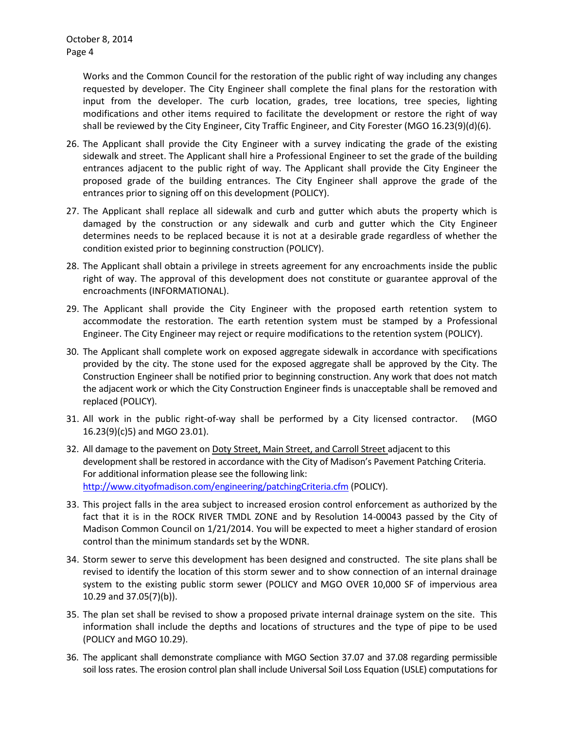Works and the Common Council for the restoration of the public right of way including any changes requested by developer. The City Engineer shall complete the final plans for the restoration with input from the developer. The curb location, grades, tree locations, tree species, lighting modifications and other items required to facilitate the development or restore the right of way shall be reviewed by the City Engineer, City Traffic Engineer, and City Forester (MGO 16.23(9)(d)(6).

- 26. The Applicant shall provide the City Engineer with a survey indicating the grade of the existing sidewalk and street. The Applicant shall hire a Professional Engineer to set the grade of the building entrances adjacent to the public right of way. The Applicant shall provide the City Engineer the proposed grade of the building entrances. The City Engineer shall approve the grade of the entrances prior to signing off on this development (POLICY).
- 27. The Applicant shall replace all sidewalk and curb and gutter which abuts the property which is damaged by the construction or any sidewalk and curb and gutter which the City Engineer determines needs to be replaced because it is not at a desirable grade regardless of whether the condition existed prior to beginning construction (POLICY).
- 28. The Applicant shall obtain a privilege in streets agreement for any encroachments inside the public right of way. The approval of this development does not constitute or guarantee approval of the encroachments (INFORMATIONAL).
- 29. The Applicant shall provide the City Engineer with the proposed earth retention system to accommodate the restoration. The earth retention system must be stamped by a Professional Engineer. The City Engineer may reject or require modifications to the retention system (POLICY).
- 30. The Applicant shall complete work on exposed aggregate sidewalk in accordance with specifications provided by the city. The stone used for the exposed aggregate shall be approved by the City. The Construction Engineer shall be notified prior to beginning construction. Any work that does not match the adjacent work or which the City Construction Engineer finds is unacceptable shall be removed and replaced (POLICY).
- 31. All work in the public right-of-way shall be performed by a City licensed contractor. (MGO 16.23(9)(c)5) and MGO 23.01).
- 32. All damage to the pavement on Doty Street, Main Street, and Carroll Street adjacent to this development shall be restored in accordance with the City of Madison's Pavement Patching Criteria. For additional information please see the following link: <http://www.cityofmadison.com/engineering/patchingCriteria.cfm> (POLICY).
- 33. This project falls in the area subject to increased erosion control enforcement as authorized by the fact that it is in the ROCK RIVER TMDL ZONE and by Resolution 14-00043 passed by the City of Madison Common Council on 1/21/2014. You will be expected to meet a higher standard of erosion control than the minimum standards set by the WDNR.
- 34. Storm sewer to serve this development has been designed and constructed. The site plans shall be revised to identify the location of this storm sewer and to show connection of an internal drainage system to the existing public storm sewer (POLICY and MGO OVER 10,000 SF of impervious area 10.29 and 37.05(7)(b)).
- 35. The plan set shall be revised to show a proposed private internal drainage system on the site. This information shall include the depths and locations of structures and the type of pipe to be used (POLICY and MGO 10.29).
- 36. The applicant shall demonstrate compliance with MGO Section 37.07 and 37.08 regarding permissible soil loss rates. The erosion control plan shall include Universal Soil Loss Equation (USLE) computations for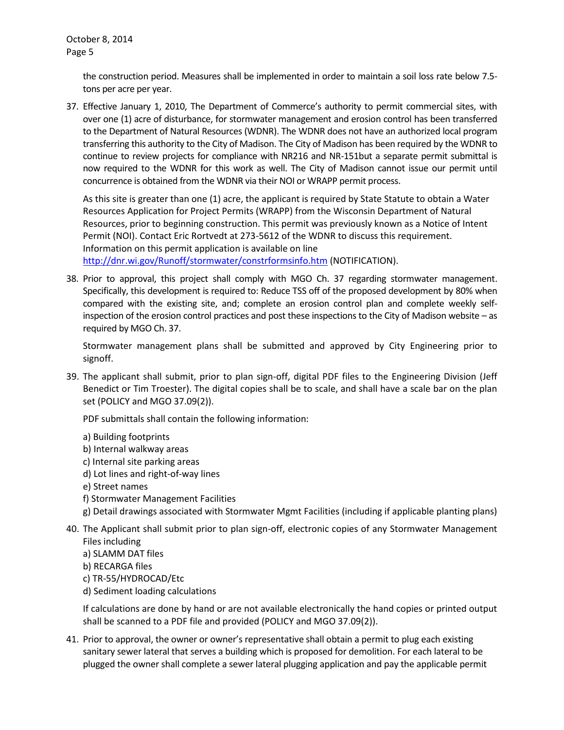the construction period. Measures shall be implemented in order to maintain a soil loss rate below 7.5 tons per acre per year.

37. Effective January 1, 2010, The Department of Commerce's authority to permit commercial sites, with over one (1) acre of disturbance, for stormwater management and erosion control has been transferred to the Department of Natural Resources (WDNR). The WDNR does not have an authorized local program transferring this authority to the City of Madison. The City of Madison has been required by the WDNR to continue to review projects for compliance with NR216 and NR-151but a separate permit submittal is now required to the WDNR for this work as well. The City of Madison cannot issue our permit until concurrence is obtained from the WDNR via their NOI or WRAPP permit process.

As this site is greater than one (1) acre, the applicant is required by State Statute to obtain a Water Resources Application for Project Permits (WRAPP) from the Wisconsin Department of Natural Resources, prior to beginning construction. This permit was previously known as a Notice of Intent Permit (NOI). Contact Eric Rortvedt at 273-5612 of the WDNR to discuss this requirement. Information on this permit application is available on line <http://dnr.wi.gov/Runoff/stormwater/constrformsinfo.htm> (NOTIFICATION).

38. Prior to approval, this project shall comply with MGO Ch. 37 regarding stormwater management. Specifically, this development is required to: Reduce TSS off of the proposed development by 80% when compared with the existing site, and; complete an erosion control plan and complete weekly selfinspection of the erosion control practices and post these inspections to the City of Madison website – as required by MGO Ch. 37.

Stormwater management plans shall be submitted and approved by City Engineering prior to signoff.

39. The applicant shall submit, prior to plan sign-off, digital PDF files to the Engineering Division (Jeff Benedict or Tim Troester). The digital copies shall be to scale, and shall have a scale bar on the plan set (POLICY and MGO 37.09(2)).

PDF submittals shall contain the following information:

- a) Building footprints
- b) Internal walkway areas
- c) Internal site parking areas
- d) Lot lines and right-of-way lines
- e) Street names
- f) Stormwater Management Facilities
- g) Detail drawings associated with Stormwater Mgmt Facilities (including if applicable planting plans)
- 40. The Applicant shall submit prior to plan sign-off, electronic copies of any Stormwater Management Files including
	- a) SLAMM DAT files
	- b) RECARGA files
	- c) TR-55/HYDROCAD/Etc
	- d) Sediment loading calculations

If calculations are done by hand or are not available electronically the hand copies or printed output shall be scanned to a PDF file and provided (POLICY and MGO 37.09(2)).

41. Prior to approval, the owner or owner's representative shall obtain a permit to plug each existing sanitary sewer lateral that serves a building which is proposed for demolition. For each lateral to be plugged the owner shall complete a sewer lateral plugging application and pay the applicable permit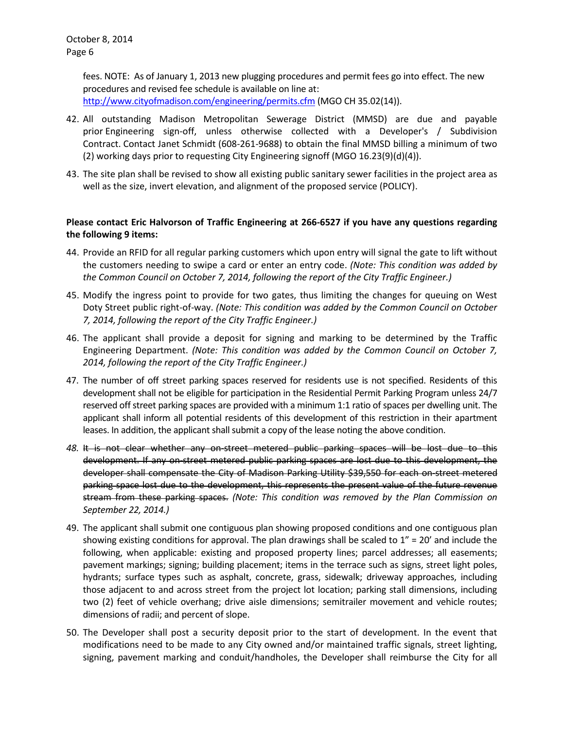fees. NOTE: As of January 1, 2013 new plugging procedures and permit fees go into effect. The new procedures and revised fee schedule is available on line at: <http://www.cityofmadison.com/engineering/permits.cfm> (MGO CH 35.02(14)).

- 42. All outstanding Madison Metropolitan Sewerage District (MMSD) are due and payable
- prior Engineering sign-off, unless otherwise collected with a Developer's / Subdivision Contract. Contact Janet Schmidt (608-261-9688) to obtain the final MMSD billing a minimum of two (2) working days prior to requesting City Engineering signoff (MGO 16.23(9)(d)(4)).
- 43. The site plan shall be revised to show all existing public sanitary sewer facilities in the project area as well as the size, invert elevation, and alignment of the proposed service (POLICY).

## **Please contact Eric Halvorson of Traffic Engineering at 266-6527 if you have any questions regarding the following 9 items:**

- 44. Provide an RFID for all regular parking customers which upon entry will signal the gate to lift without the customers needing to swipe a card or enter an entry code. *(Note: This condition was added by the Common Council on October 7, 2014, following the report of the City Traffic Engineer.)*
- 45. Modify the ingress point to provide for two gates, thus limiting the changes for queuing on West Doty Street public right-of-way. *(Note: This condition was added by the Common Council on October 7, 2014, following the report of the City Traffic Engineer.)*
- 46. The applicant shall provide a deposit for signing and marking to be determined by the Traffic Engineering Department. *(Note: This condition was added by the Common Council on October 7, 2014, following the report of the City Traffic Engineer.)*
- 47. The number of off street parking spaces reserved for residents use is not specified. Residents of this development shall not be eligible for participation in the Residential Permit Parking Program unless 24/7 reserved off street parking spaces are provided with a minimum 1:1 ratio of spaces per dwelling unit. The applicant shall inform all potential residents of this development of this restriction in their apartment leases. In addition, the applicant shall submit a copy of the lease noting the above condition.
- *48.* It is not clear whether any on-street metered public parking spaces will be lost due to this development. If any on-street metered public parking spaces are lost due to this development, the developer shall compensate the City of Madison Parking Utility \$39,550 for each on-street metered parking space lost due to the development, this represents the present value of the future revenue stream from these parking spaces. *(Note: This condition was removed by the Plan Commission on September 22, 2014.)*
- 49. The applicant shall submit one contiguous plan showing proposed conditions and one contiguous plan showing existing conditions for approval. The plan drawings shall be scaled to  $1'' = 20'$  and include the following, when applicable: existing and proposed property lines; parcel addresses; all easements; pavement markings; signing; building placement; items in the terrace such as signs, street light poles, hydrants; surface types such as asphalt, concrete, grass, sidewalk; driveway approaches, including those adjacent to and across street from the project lot location; parking stall dimensions, including two (2) feet of vehicle overhang; drive aisle dimensions; semitrailer movement and vehicle routes; dimensions of radii; and percent of slope.
- 50. The Developer shall post a security deposit prior to the start of development. In the event that modifications need to be made to any City owned and/or maintained traffic signals, street lighting, signing, pavement marking and conduit/handholes, the Developer shall reimburse the City for all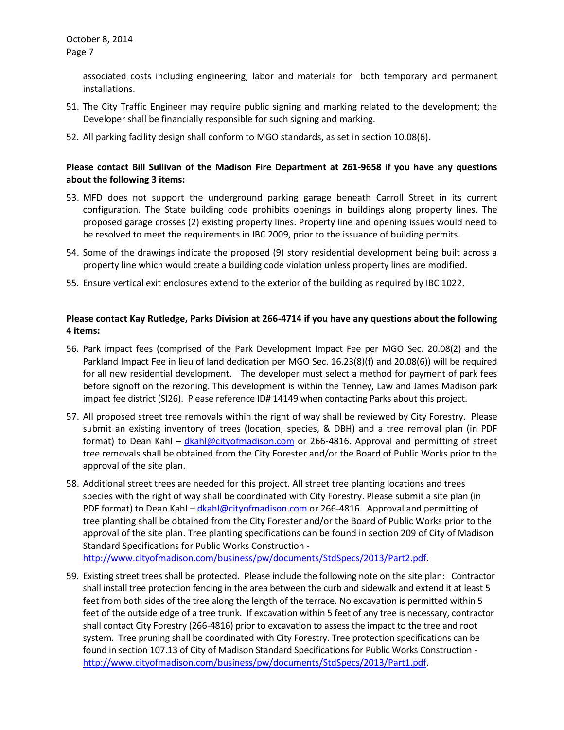associated costs including engineering, labor and materials for both temporary and permanent installations.

- 51. The City Traffic Engineer may require public signing and marking related to the development; the Developer shall be financially responsible for such signing and marking.
- 52. All parking facility design shall conform to MGO standards, as set in section 10.08(6).

## **Please contact Bill Sullivan of the Madison Fire Department at 261-9658 if you have any questions about the following 3 items:**

- 53. MFD does not support the underground parking garage beneath Carroll Street in its current configuration. The State building code prohibits openings in buildings along property lines. The proposed garage crosses (2) existing property lines. Property line and opening issues would need to be resolved to meet the requirements in IBC 2009, prior to the issuance of building permits.
- 54. Some of the drawings indicate the proposed (9) story residential development being built across a property line which would create a building code violation unless property lines are modified.
- 55. Ensure vertical exit enclosures extend to the exterior of the building as required by IBC 1022.

## **Please contact Kay Rutledge, Parks Division at 266-4714 if you have any questions about the following 4 items:**

- 56. Park impact fees (comprised of the Park Development Impact Fee per MGO Sec. 20.08(2) and the Parkland Impact Fee in lieu of land dedication per MGO Sec. 16.23(8)(f) and 20.08(6)) will be required for all new residential development. The developer must select a method for payment of park fees before signoff on the rezoning. This development is within the Tenney, Law and James Madison park impact fee district (SI26). Please reference ID# 14149 when contacting Parks about this project.
- 57. All proposed street tree removals within the right of way shall be reviewed by City Forestry. Please submit an existing inventory of trees (location, species, & DBH) and a tree removal plan (in PDF format) to Dean Kahl – *[dkahl@cityofmadison.com](mailto:dkahl@cityofmadison.com) or 266-4816*. Approval and permitting of street tree removals shall be obtained from the City Forester and/or the Board of Public Works prior to the approval of the site plan.
- 58. Additional street trees are needed for this project. All street tree planting locations and trees species with the right of way shall be coordinated with City Forestry. Please submit a site plan (in PDF format) to Dean Kahl – [dkahl@cityofmadison.com](mailto:dkahl@cityofmadison.com) or 266-4816. Approval and permitting of tree planting shall be obtained from the City Forester and/or the Board of Public Works prior to the approval of the site plan. Tree planting specifications can be found in section 209 of City of Madison Standard Specifications for Public Works Construction -

[http://www.cityofmadison.com/business/pw/documents/StdSpecs/2013/Part2.pdf.](http://www.cityofmadison.com/business/pw/documents/StdSpecs/2013/Part2.pdf)

59. Existing street trees shall be protected. Please include the following note on the site plan: Contractor shall install tree protection fencing in the area between the curb and sidewalk and extend it at least 5 feet from both sides of the tree along the length of the terrace. No excavation is permitted within 5 feet of the outside edge of a tree trunk. If excavation within 5 feet of any tree is necessary, contractor shall contact City Forestry (266-4816) prior to excavation to assess the impact to the tree and root system. Tree pruning shall be coordinated with City Forestry. Tree protection specifications can be found in section 107.13 of City of Madison Standard Specifications for Public Works Construction [http://www.cityofmadison.com/business/pw/documents/StdSpecs/2013/Part1.pdf.](http://www.cityofmadison.com/business/pw/documents/StdSpecs/2013/Part1.pdf)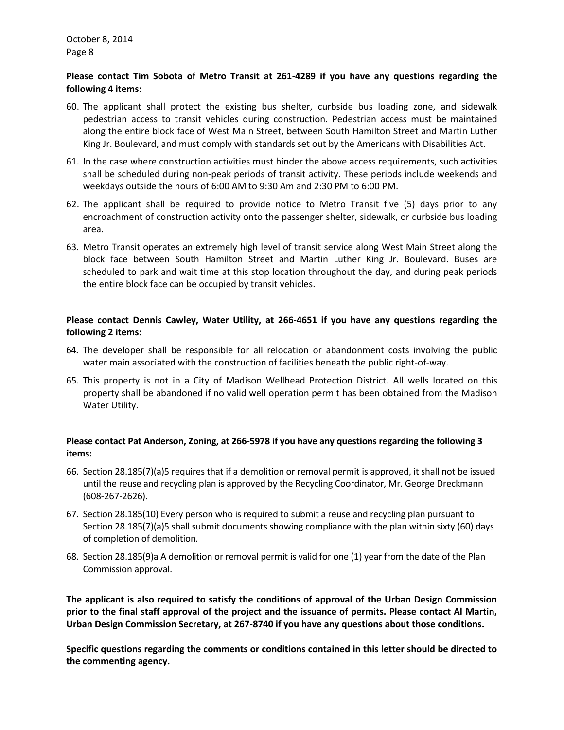#### **Please contact Tim Sobota of Metro Transit at 261-4289 if you have any questions regarding the following 4 items:**

- 60. The applicant shall protect the existing bus shelter, curbside bus loading zone, and sidewalk pedestrian access to transit vehicles during construction. Pedestrian access must be maintained along the entire block face of West Main Street, between South Hamilton Street and Martin Luther King Jr. Boulevard, and must comply with standards set out by the Americans with Disabilities Act.
- 61. In the case where construction activities must hinder the above access requirements, such activities shall be scheduled during non-peak periods of transit activity. These periods include weekends and weekdays outside the hours of 6:00 AM to 9:30 Am and 2:30 PM to 6:00 PM.
- 62. The applicant shall be required to provide notice to Metro Transit five (5) days prior to any encroachment of construction activity onto the passenger shelter, sidewalk, or curbside bus loading area.
- 63. Metro Transit operates an extremely high level of transit service along West Main Street along the block face between South Hamilton Street and Martin Luther King Jr. Boulevard. Buses are scheduled to park and wait time at this stop location throughout the day, and during peak periods the entire block face can be occupied by transit vehicles.

### **Please contact Dennis Cawley, Water Utility, at 266-4651 if you have any questions regarding the following 2 items:**

- 64. The developer shall be responsible for all relocation or abandonment costs involving the public water main associated with the construction of facilities beneath the public right-of-way.
- 65. This property is not in a City of Madison Wellhead Protection District. All wells located on this property shall be abandoned if no valid well operation permit has been obtained from the Madison Water Utility.

### **Please contact Pat Anderson, Zoning, at 266-5978 if you have any questions regarding the following 3 items:**

- 66. Section 28.185(7)(a)5 requires that if a demolition or removal permit is approved, it shall not be issued until the reuse and recycling plan is approved by the Recycling Coordinator, Mr. George Dreckmann (608-267-2626).
- 67. Section 28.185(10) Every person who is required to submit a reuse and recycling plan pursuant to Section 28.185(7)(a)5 shall submit documents showing compliance with the plan within sixty (60) days of completion of demolition.
- 68. Section 28.185(9)a A demolition or removal permit is valid for one (1) year from the date of the Plan Commission approval.

**The applicant is also required to satisfy the conditions of approval of the Urban Design Commission prior to the final staff approval of the project and the issuance of permits. Please contact Al Martin, Urban Design Commission Secretary, at 267-8740 if you have any questions about those conditions.**

**Specific questions regarding the comments or conditions contained in this letter should be directed to the commenting agency.**